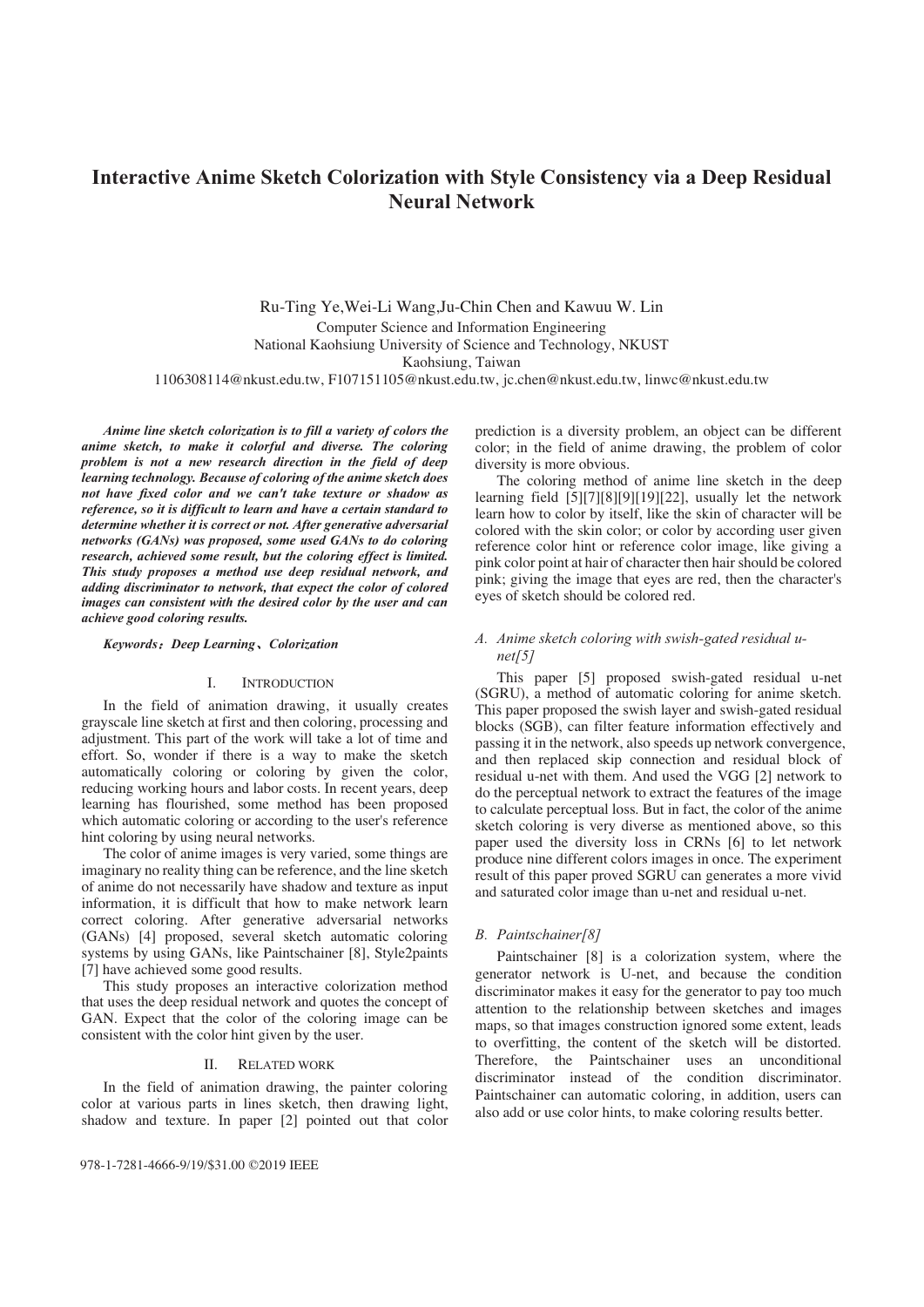# **Interactive Anime Sketch Colorization with Style Consistency via a Deep Residual Neural Network**

Ru-Ting Ye,Wei-Li Wang,Ju-Chin Chen and Kawuu W. Lin Computer Science and Information Engineering National Kaohsiung University of Science and Technology, NKUST Kaohsiung, Taiwan

1106308114@nkust.edu.tw, F107151105@nkust.edu.tw, jc.chen@nkust.edu.tw, linwc@nkust.edu.tw

*Anime line sketch colorization is to fill a variety of colors the anime sketch, to make it colorful and diverse. The coloring problem is not a new research direction in the field of deep learning technology. Because of coloring of the anime sketch does not have fixed color and we can't take texture or shadow as reference, so it is difficult to learn and have a certain standard to determine whether it is correct or not. After generative adversarial networks (GANs) was proposed, some used GANs to do coloring research, achieved some result, but the coloring effect is limited. This study proposes a method use deep residual network, and adding discriminator to network, that expect the color of colored images can consistent with the desired color by the user and can achieve good coloring results.* 

### *Keywords*˖*Deep Learning*ǃ*Colorization*

### I. INTRODUCTION

In the field of animation drawing, it usually creates grayscale line sketch at first and then coloring, processing and adjustment. This part of the work will take a lot of time and effort. So, wonder if there is a way to make the sketch automatically coloring or coloring by given the color, reducing working hours and labor costs. In recent years, deep learning has flourished, some method has been proposed which automatic coloring or according to the user's reference hint coloring by using neural networks.

The color of anime images is very varied, some things are imaginary no reality thing can be reference, and the line sketch of anime do not necessarily have shadow and texture as input information, it is difficult that how to make network learn correct coloring. After generative adversarial networks (GANs) [4] proposed, several sketch automatic coloring systems by using GANs, like Paintschainer [8], Style2paints [7] have achieved some good results.

This study proposes an interactive colorization method that uses the deep residual network and quotes the concept of GAN. Expect that the color of the coloring image can be consistent with the color hint given by the user.

# II. RELATED WORK

In the field of animation drawing, the painter coloring color at various parts in lines sketch, then drawing light, shadow and texture. In paper [2] pointed out that color prediction is a diversity problem, an object can be different color; in the field of anime drawing, the problem of color diversity is more obvious.

The coloring method of anime line sketch in the deep learning field [5][7][8][9][19][22], usually let the network learn how to color by itself, like the skin of character will be colored with the skin color; or color by according user given reference color hint or reference color image, like giving a pink color point at hair of character then hair should be colored pink; giving the image that eyes are red, then the character's eyes of sketch should be colored red.

# *A. Anime sketch coloring with swish-gated residual unet[5]*

This paper [5] proposed swish-gated residual u-net (SGRU), a method of automatic coloring for anime sketch. This paper proposed the swish layer and swish-gated residual blocks (SGB), can filter feature information effectively and passing it in the network, also speeds up network convergence, and then replaced skip connection and residual block of residual u-net with them. And used the VGG [2] network to do the perceptual network to extract the features of the image to calculate perceptual loss. But in fact, the color of the anime sketch coloring is very diverse as mentioned above, so this paper used the diversity loss in CRNs [6] to let network produce nine different colors images in once. The experiment result of this paper proved SGRU can generates a more vivid and saturated color image than u-net and residual u-net.

### *B. Paintschainer[8]*

Paintschainer [8] is a colorization system, where the generator network is U-net, and because the condition discriminator makes it easy for the generator to pay too much attention to the relationship between sketches and images maps, so that images construction ignored some extent, leads to overfitting, the content of the sketch will be distorted. Therefore, the Paintschainer uses an unconditional discriminator instead of the condition discriminator. Paintschainer can automatic coloring, in addition, users can also add or use color hints, to make coloring results better.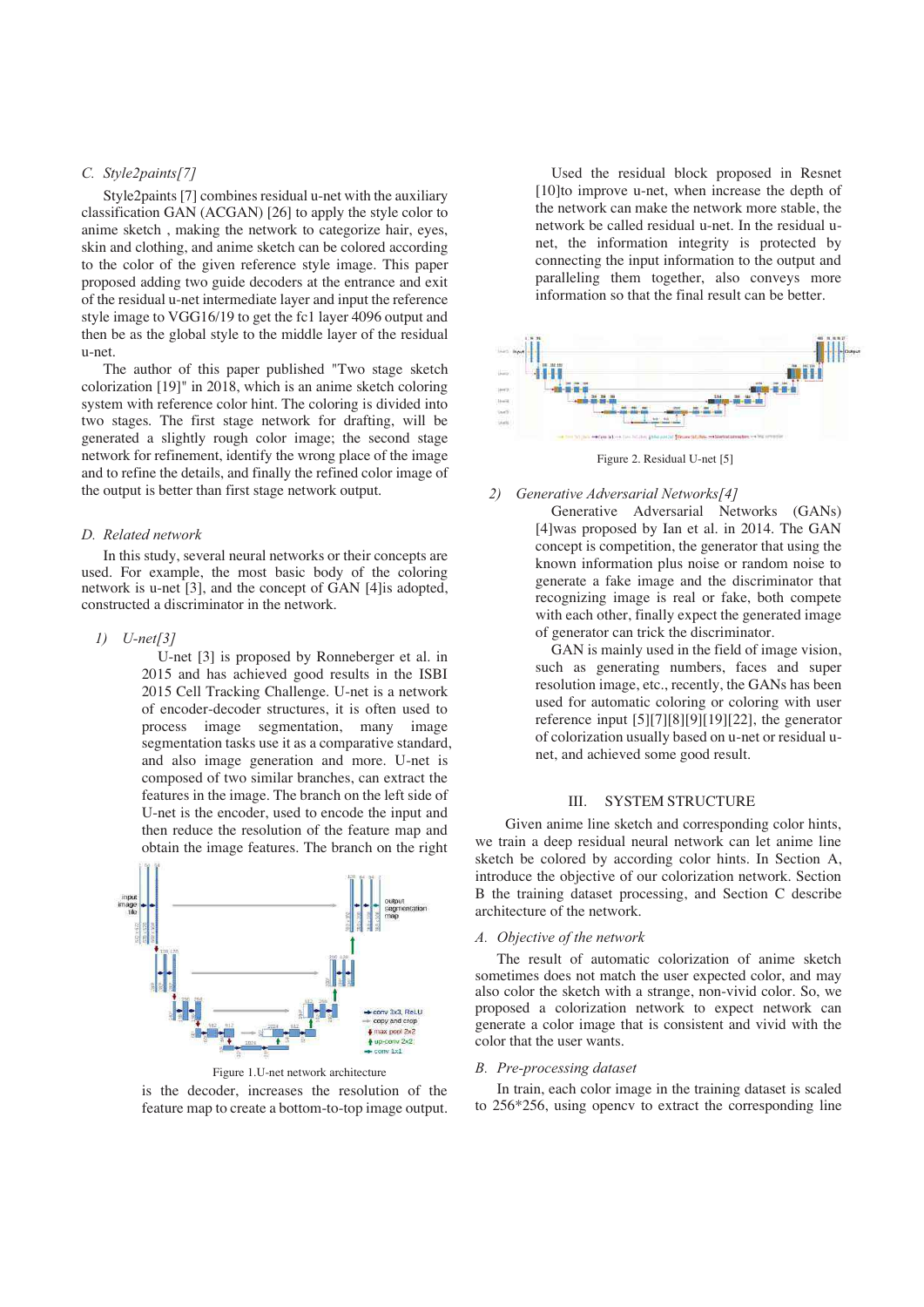# *C. Style2paints[7]*

Style2paints [7] combines residual u-net with the auxiliary classification GAN (ACGAN) [26] to apply the style color to anime sketch , making the network to categorize hair, eyes, skin and clothing, and anime sketch can be colored according to the color of the given reference style image. This paper proposed adding two guide decoders at the entrance and exit of the residual u-net intermediate layer and input the reference style image to VGG16/19 to get the fc1 layer 4096 output and then be as the global style to the middle layer of the residual u-net.

The author of this paper published "Two stage sketch colorization [19]" in 2018, which is an anime sketch coloring system with reference color hint. The coloring is divided into two stages. The first stage network for drafting, will be generated a slightly rough color image; the second stage network for refinement, identify the wrong place of the image and to refine the details, and finally the refined color image of the output is better than first stage network output.

# *D. Related network*

In this study, several neural networks or their concepts are used. For example, the most basic body of the coloring network is u-net [3], and the concept of GAN [4]is adopted, constructed a discriminator in the network.

# *1) U-net[3]*

U-net [3] is proposed by Ronneberger et al. in 2015 and has achieved good results in the ISBI 2015 Cell Tracking Challenge. U-net is a network of encoder-decoder structures, it is often used to process image segmentation, many image segmentation tasks use it as a comparative standard, and also image generation and more. U-net is composed of two similar branches, can extract the features in the image. The branch on the left side of U-net is the encoder, used to encode the input and then reduce the resolution of the feature map and obtain the image features. The branch on the right



is the decoder, increases the resolution of the feature map to create a bottom-to-top image output.

Used the residual block proposed in Resnet [10]to improve u-net, when increase the depth of the network can make the network more stable, the network be called residual u-net. In the residual unet, the information integrity is protected by connecting the input information to the output and paralleling them together, also conveys more information so that the final result can be better.



# *2) Generative Adversarial Networks[4]*

Generative Adversarial Networks (GANs) [4]was proposed by Ian et al. in 2014. The GAN concept is competition, the generator that using the known information plus noise or random noise to generate a fake image and the discriminator that recognizing image is real or fake, both compete with each other, finally expect the generated image of generator can trick the discriminator.

GAN is mainly used in the field of image vision, such as generating numbers, faces and super resolution image, etc., recently, the GANs has been used for automatic coloring or coloring with user reference input [5][7][8][9][19][22], the generator of colorization usually based on u-net or residual unet, and achieved some good result.

# III. SYSTEM STRUCTURE

Given anime line sketch and corresponding color hints, we train a deep residual neural network can let anime line sketch be colored by according color hints. In Section A, introduce the objective of our colorization network. Section B the training dataset processing, and Section C describe architecture of the network.

### *A. Objective of the network*

The result of automatic colorization of anime sketch sometimes does not match the user expected color, and may also color the sketch with a strange, non-vivid color. So, we proposed a colorization network to expect network can generate a color image that is consistent and vivid with the color that the user wants.

### *B. Pre-processing dataset*

In train, each color image in the training dataset is scaled to 256\*256, using opencv to extract the corresponding line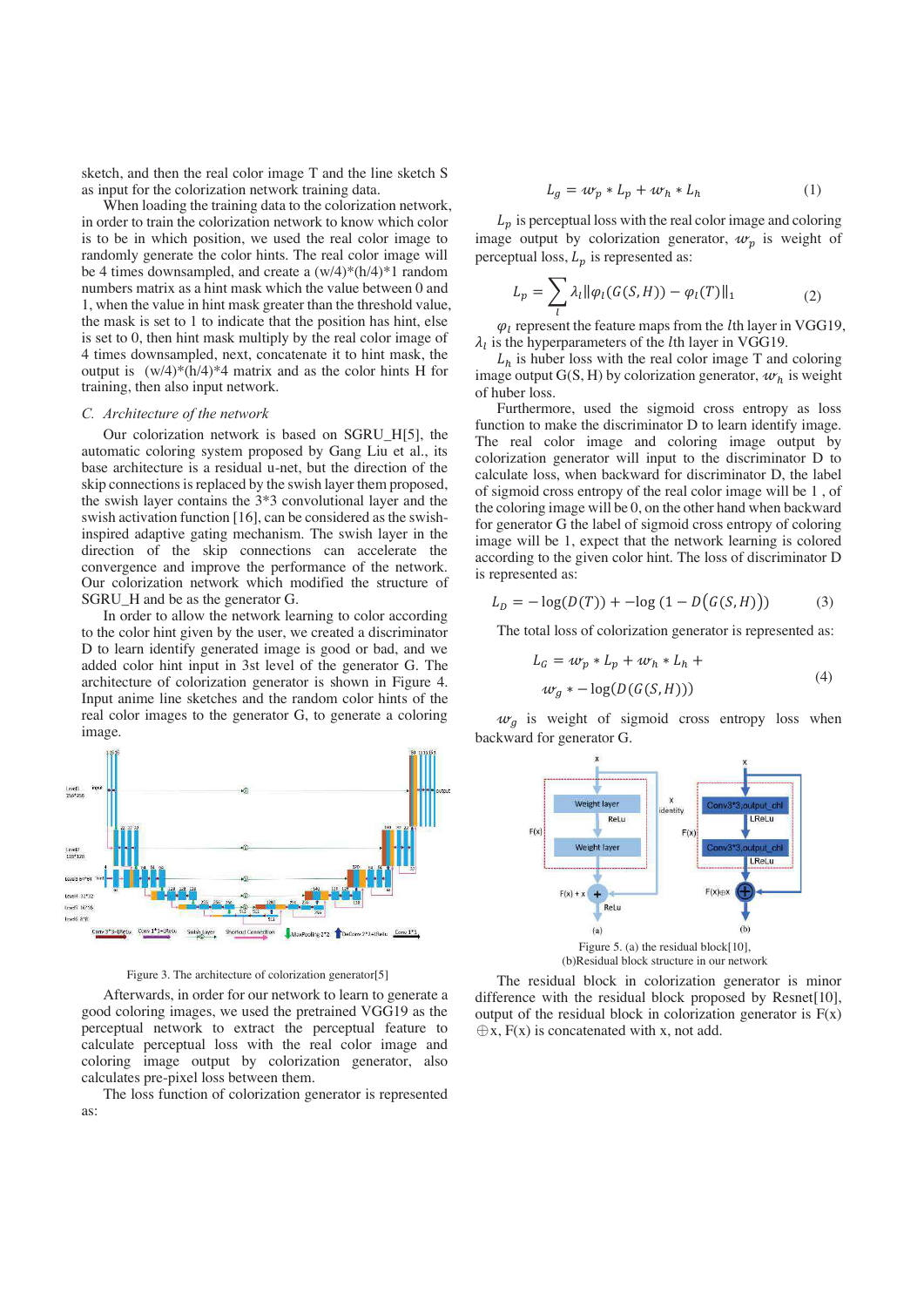sketch, and then the real color image T and the line sketch S as input for the colorization network training data.

When loading the training data to the colorization network, in order to train the colorization network to know which color is to be in which position, we used the real color image to randomly generate the color hints. The real color image will be 4 times downsampled, and create a (w/4)\*(h/4)\*1 random numbers matrix as a hint mask which the value between 0 and 1, when the value in hint mask greater than the threshold value, the mask is set to 1 to indicate that the position has hint, else is set to 0, then hint mask multiply by the real color image of 4 times downsampled, next, concatenate it to hint mask, the output is  $(w/4)*(h/4)*4$  matrix and as the color hints H for training, then also input network.

### *C. Architecture of the network*

Our colorization network is based on SGRU\_H[5], the automatic coloring system proposed by Gang Liu et al., its base architecture is a residual u-net, but the direction of the skip connections is replaced by the swish layer them proposed, the swish layer contains the 3\*3 convolutional layer and the swish activation function [16], can be considered as the swishinspired adaptive gating mechanism. The swish layer in the direction of the skip connections can accelerate the convergence and improve the performance of the network. Our colorization network which modified the structure of SGRU\_H and be as the generator G.

In order to allow the network learning to color according to the color hint given by the user, we created a discriminator D to learn identify generated image is good or bad, and we added color hint input in 3st level of the generator G. The architecture of colorization generator is shown in Figure 4. Input anime line sketches and the random color hints of the real color images to the generator G, to generate a coloring image.



Afterwards, in order for our network to learn to generate a good coloring images, we used the pretrained VGG19 as the perceptual network to extract the perceptual feature to calculate perceptual loss with the real color image and coloring image output by colorization generator, also calculates pre-pixel loss between them.

The loss function of colorization generator is represented as:

$$
L_g = w_p * L_p + w_h * L_h \tag{1}
$$

 $L<sub>p</sub>$  is perceptual loss with the real color image and coloring image output by colorization generator,  $w_p$  is weight of perceptual loss,  $L_p$  is represented as:

$$
L_p = \sum_l \lambda_l \|\varphi_l(G(S, H)) - \varphi_l(T)\|_1 \tag{2}
$$

 $\varphi_l$  represent the feature maps from the *l*th layer in VGG19,  $\lambda_l$  is the hyperparameters of the *l*th layer in VGG19.

 $L<sub>h</sub>$  is huber loss with the real color image T and coloring image output G(S, H) by colorization generator,  $w_h$  is weight of huber loss.

Furthermore, used the sigmoid cross entropy as loss function to make the discriminator D to learn identify image. The real color image and coloring image output by colorization generator will input to the discriminator D to calculate loss, when backward for discriminator D, the label of sigmoid cross entropy of the real color image will be 1 , of the coloring image will be 0, on the other hand when backward for generator G the label of sigmoid cross entropy of coloring image will be 1, expect that the network learning is colored according to the given color hint. The loss of discriminator D is represented as:

$$
L_D = -\log(D(T)) + -\log(1 - D(G(S, H)))
$$
 (3)

The total loss of colorization generator is represented as:

$$
L_G = w_p * L_p + w_h * L_h +
$$
  
\n
$$
w_g * -\log(D(G(S, H)))
$$
\n(4)

 $w_g$  is weight of sigmoid cross entropy loss when backward for generator G.



The residual block in colorization generator is minor difference with the residual block proposed by Resnet[10], output of the residual block in colorization generator is  $F(x)$  $\bigoplus$ x, F(x) is concatenated with x, not add.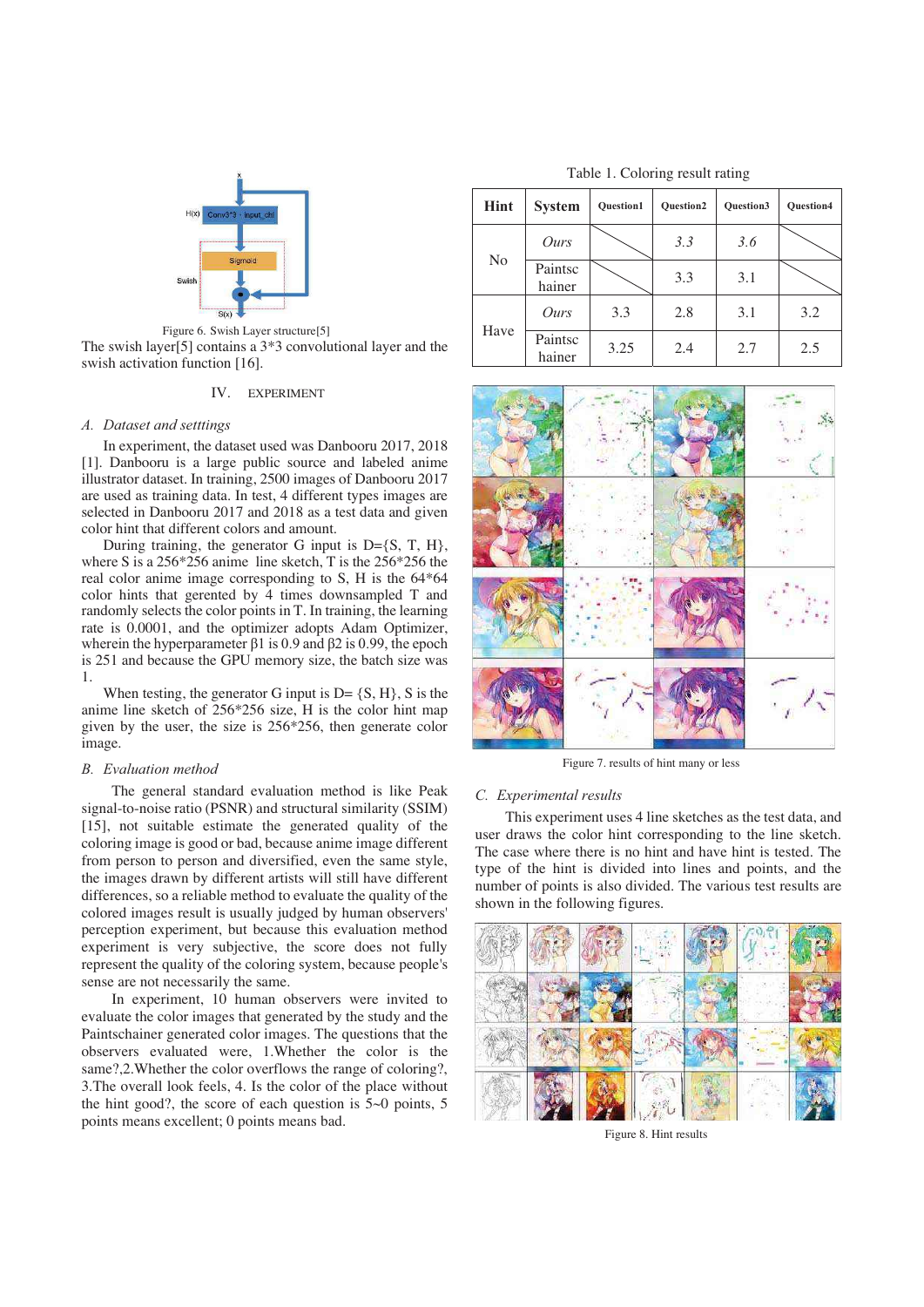

The swish layer[5] contains a 3\*3 convolutional layer and the swish activation function [16].

# IV. EXPERIMENT

### *A. Dataset and setttings*

In experiment, the dataset used was Danbooru 2017, 2018 [1]. Danbooru is a large public source and labeled anime illustrator dataset. In training, 2500 images of Danbooru 2017 are used as training data. In test, 4 different types images are selected in Danbooru 2017 and 2018 as a test data and given color hint that different colors and amount.

During training, the generator G input is  $D = \{S, T, H\}$ , where S is a 256\*256 anime line sketch, T is the 256\*256 the real color anime image corresponding to S, H is the 64\*64 color hints that gerented by 4 times downsampled T and randomly selects the color points in T. In training, the learning rate is 0.0001, and the optimizer adopts Adam Optimizer, wherein the hyperparameter β1 is 0.9 and β2 is 0.99, the epoch is 251 and because the GPU memory size, the batch size was 1.

When testing, the generator G input is  $D = \{S, H\}$ , S is the anime line sketch of 256\*256 size, H is the color hint map given by the user, the size is 256\*256, then generate color image.

### *B. Evaluation method*

The general standard evaluation method is like Peak signal-to-noise ratio (PSNR) and structural similarity (SSIM) [15], not suitable estimate the generated quality of the coloring image is good or bad, because anime image different from person to person and diversified, even the same style, the images drawn by different artists will still have different differences, so a reliable method to evaluate the quality of the colored images result is usually judged by human observers' perception experiment, but because this evaluation method experiment is very subjective, the score does not fully represent the quality of the coloring system, because people's sense are not necessarily the same.

In experiment, 10 human observers were invited to evaluate the color images that generated by the study and the Paintschainer generated color images. The questions that the observers evaluated were, 1.Whether the color is the same?,2.Whether the color overflows the range of coloring?, 3.The overall look feels, 4. Is the color of the place without the hint good?, the score of each question is 5~0 points, 5 points means excellent; 0 points means bad.

Table 1. Coloring result rating

| Hint           | <b>System</b>     | <b>Ouestion1</b> | <b>Ouestion2</b> | <b>Ouestion3</b> | <b>Ouestion4</b> |
|----------------|-------------------|------------------|------------------|------------------|------------------|
| N <sub>0</sub> | Ours              |                  | 3.3              | 3.6              |                  |
|                | Paintsc<br>hainer |                  | 3.3              | 3.1              |                  |
| Have           | Ours              | 3.3              | 2.8              | 3.1              | 3.2              |
|                | Paintsc<br>hainer | 3.25             | 2.4              | 2.7              | 2.5              |



#### *C. Experimental results*

This experiment uses 4 line sketches as the test data, and user draws the color hint corresponding to the line sketch. The case where there is no hint and have hint is tested. The type of the hint is divided into lines and points, and the number of points is also divided. The various test results are shown in the following figures.